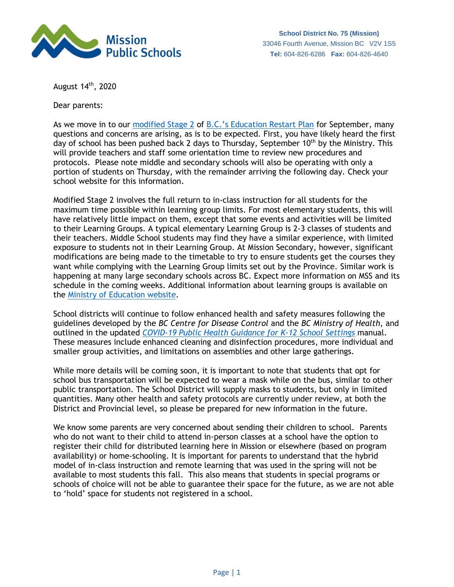

August 14<sup>th</sup>, 2020

Dear parents:

As we move in to our [modified Stage 2](https://www2.gov.bc.ca/gov/content/education-training/k-12/covid-19-return-to-school/expect-stage-2) of [B.C.'s Education Restart Plan](https://www2.gov.bc.ca/gov/content/education-training/k-12/covid-19-return-to-school) for September, many questions and concerns are arising, as is to be expected. First, you have likely heard the first day of school has been pushed back 2 days to Thursday, September  $10<sup>th</sup>$  by the Ministry. This will provide teachers and staff some orientation time to review new procedures and protocols. Please note middle and secondary schools will also be operating with only a portion of students on Thursday, with the remainder arriving the following day. Check your school website for this information.

Modified Stage 2 involves the full return to in-class instruction for all students for the maximum time possible within learning group limits. For most elementary students, this will have relatively little impact on them, except that some events and activities will be limited to their Learning Groups. A typical elementary Learning Group is 2-3 classes of students and their teachers. Middle School students may find they have a similar experience, with limited exposure to students not in their Learning Group. At Mission Secondary, however, significant modifications are being made to the timetable to try to ensure students get the courses they want while complying with the Learning Group limits set out by the Province. Similar work is happening at many large secondary schools across BC. Expect more information on MSS and its schedule in the coming weeks. Additional information about learning groups is available on the [Ministry of Education website.](https://www2.gov.bc.ca/gov/content/education-training/k-12/covid-19-return-to-school/learning-groups)

School districts will continue to follow enhanced health and safety measures following the guidelines developed by the *BC Centre for Disease Control* and the *BC Ministry of Health,* and outlined in the updated *[COVID-19 Public Health Guidance for K-12 School Settings](http://www.bccdc.ca/Health-Info-Site/Documents/COVID_public_guidance/Guidance-k-12-schools.pdf)* manual. These measures include enhanced cleaning and disinfection procedures, more individual and smaller group activities, and limitations on assemblies and other large gatherings.

While more details will be coming soon, it is important to note that students that opt for school bus transportation will be expected to wear a mask while on the bus, similar to other public transportation. The School District will supply masks to students, but only in limited quantities. Many other health and safety protocols are currently under review, at both the District and Provincial level, so please be prepared for new information in the future.

We know some parents are very concerned about sending their children to school. Parents who do not want to their child to attend in-person classes at a school have the option to register their child for distributed learning here in Mission or elsewhere (based on program availability) or home-schooling. It is important for parents to understand that the hybrid model of in-class instruction and remote learning that was used in the spring will not be available to most students this fall. This also means that students in special programs or schools of choice will not be able to guarantee their space for the future, as we are not able to 'hold' space for students not registered in a school.